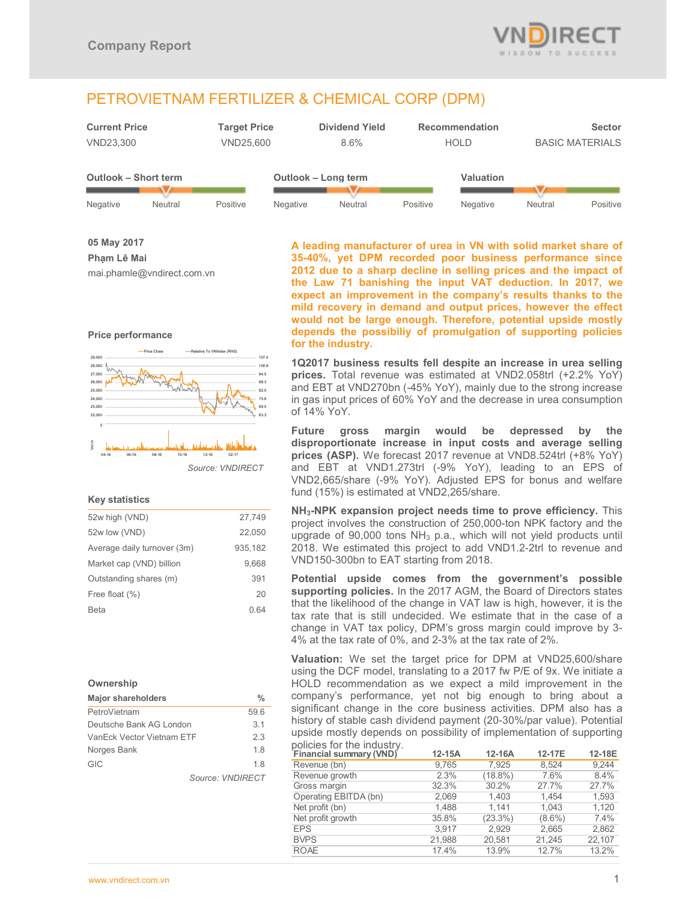

# PETROVIETNAM FERTILIZER & CHEMICAL CORP (DPM)



**05 May 2017 Phạm Lê Mai**  mai.phamle@vndirect.com.vn





#### **Key statistics**

| 52w high (VND)              | 27,749  |
|-----------------------------|---------|
| 52w low (VND)               | 22,050  |
| Average daily turnover (3m) | 935,182 |
| Market cap (VND) billion    | 9,668   |
| Outstanding shares (m)      | 391     |
| Free float (%)              | 20      |
| Beta                        | 0 64    |
|                             |         |

#### **Ownership**

| <b>Major shareholders</b>       | %                       |  |
|---------------------------------|-------------------------|--|
| PetroVietnam                    | 59.6                    |  |
| Deutsche Bank AG London         | 3 <sub>1</sub>          |  |
| 23<br>VanEck Vector Vietnam ETF |                         |  |
| Norges Bank                     | 18                      |  |
| <b>GIC</b>                      | 18                      |  |
|                                 | Source: <i>VNDIRFCT</i> |  |

**A leading manufacturer of urea in VN with solid market share of 35-40%, yet DPM recorded poor business performance since 2012 due to a sharp decline in selling prices and the impact of the Law 71 banishing the input VAT deduction. In 2017, we expect an improvement in the company's results thanks to the mild recovery in demand and output prices, however the effect would not be large enough. Therefore, potential upside mostly depends the possibiliy of promulgation of supporting policies for the industry.** 

**1Q2017 business results fell despite an increase in urea selling prices.** Total revenue was estimated at VND2.058trl (+2.2% YoY) and EBT at VND270bn (-45% YoY), mainly due to the strong increase in gas input prices of 60% YoY and the decrease in urea consumption of 14% YoY.

**Future gross margin would be depressed by the disproportionate increase in input costs and average selling prices (ASP).** We forecast 2017 revenue at VND8.524trl (+8% YoY) and EBT at VND1.273trl (-9% YoY), leading to an EPS of VND2,665/share (-9% YoY). Adjusted EPS for bonus and welfare fund (15%) is estimated at VND2,265/share.

**NH3-NPK expansion project needs time to prove efficiency.** This project involves the construction of 250,000-ton NPK factory and the upgrade of 90,000 tons NH3 p.a., which will not yield products until 2018. We estimated this project to add VND1.2-2trl to revenue and VND150-300bn to EAT starting from 2018.

**Potential upside comes from the government's possible supporting policies.** In the 2017 AGM, the Board of Directors states that the likelihood of the change in VAT law is high, however, it is the tax rate that is still undecided. We estimate that in the case of a change in VAT tax policy, DPM's gross margin could improve by 3- 4% at the tax rate of 0%, and 2-3% at the tax rate of 2%.

**Valuation:** We set the target price for DPM at VND25,600/share using the DCF model, translating to a 2017 fw P/E of 9x. We initiate a HOLD recommendation as we expect a mild improvement in the company's performance, yet not big enough to bring about a significant change in the core business activities. DPM also has a history of stable cash dividend payment (20-30%/par value). Potential upside mostly depends on possibility of implementation of supporting policies for the industry.

| <b>Financial summary (VND)</b> | $12-15A$ | 12-16A     | 12-17E    | 12-18E |
|--------------------------------|----------|------------|-----------|--------|
| Revenue (bn)                   | 9,765    | 7.925      | 8.524     | 9.244  |
| Revenue growth                 | 2.3%     | $(18.8\%)$ | 7.6%      | 8.4%   |
| Gross margin                   | 32.3%    | 30.2%      | 27.7%     | 27.7%  |
| Operating EBITDA (bn)          | 2,069    | 1,403      | 1.454     | 1,593  |
| Net profit (bn)                | 1,488    | 1.141      | 1.043     | 1,120  |
| Net profit growth              | 35.8%    | (23.3%)    | $(8.6\%)$ | 7.4%   |
| <b>EPS</b>                     | 3.917    | 2.929      | 2,665     | 2,862  |
| <b>BVPS</b>                    | 21.988   | 20.581     | 21.245    | 22.107 |
| <b>ROAE</b>                    | 17.4%    | 13.9%      | 12.7%     | 13.2%  |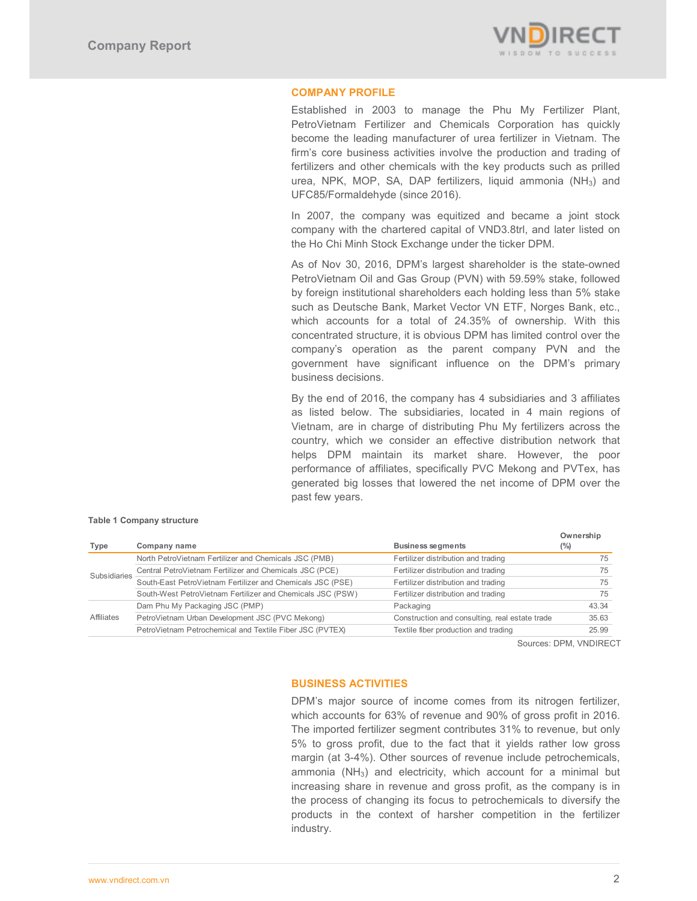

# **COMPANY PROFILE**

Established in 2003 to manage the Phu My Fertilizer Plant, PetroVietnam Fertilizer and Chemicals Corporation has quickly become the leading manufacturer of urea fertilizer in Vietnam. The firm's core business activities involve the production and trading of fertilizers and other chemicals with the key products such as prilled urea, NPK, MOP, SA, DAP fertilizers, liquid ammonia (NH<sub>3</sub>) and UFC85/Formaldehyde (since 2016).

In 2007, the company was equitized and became a joint stock company with the chartered capital of VND3.8trl, and later listed on the Ho Chi Minh Stock Exchange under the ticker DPM.

As of Nov 30, 2016, DPM's largest shareholder is the state-owned PetroVietnam Oil and Gas Group (PVN) with 59.59% stake, followed by foreign institutional shareholders each holding less than 5% stake such as Deutsche Bank, Market Vector VN ETF, Norges Bank, etc., which accounts for a total of 24.35% of ownership. With this concentrated structure, it is obvious DPM has limited control over the company's operation as the parent company PVN and the government have significant influence on the DPM's primary business decisions.

By the end of 2016, the company has 4 subsidiaries and 3 affiliates as listed below. The subsidiaries, located in 4 main regions of Vietnam, are in charge of distributing Phu My fertilizers across the country, which we consider an effective distribution network that helps DPM maintain its market share. However, the poor performance of affiliates, specifically PVC Mekong and PVTex, has generated big losses that lowered the net income of DPM over the past few years.

|              |                                                            |                                                | Ownership |
|--------------|------------------------------------------------------------|------------------------------------------------|-----------|
| Type         | Company name                                               | <b>Business segments</b>                       | $(\%)$    |
|              | North PetroVietnam Fertilizer and Chemicals JSC (PMB)      | Fertilizer distribution and trading            | 75        |
| Subsidiaries | Central PetroVietnam Fertilizer and Chemicals JSC (PCE)    | Fertilizer distribution and trading            | 75        |
|              | South-East PetroVietnam Fertilizer and Chemicals JSC (PSE) | Fertilizer distribution and trading            | 75        |
|              | South-West PetroVietnam Fertilizer and Chemicals JSC (PSW) | Fertilizer distribution and trading            | 75        |
|              | Dam Phu My Packaging JSC (PMP)                             | Packaging                                      | 43.34     |
| Affiliates   | PetroVietnam Urban Development JSC (PVC Mekong)            | Construction and consulting, real estate trade | 35.63     |
|              | PetroVietnam Petrochemical and Textile Fiber JSC (PVTEX)   | Textile fiber production and trading           | 25.99     |

#### **Table 1 Company structure**

Sources: DPM, VNDIRECT

# **BUSINESS ACTIVITIES**

DPM's major source of income comes from its nitrogen fertilizer, which accounts for 63% of revenue and 90% of gross profit in 2016. The imported fertilizer segment contributes 31% to revenue, but only 5% to gross profit, due to the fact that it yields rather low gross margin (at 3-4%). Other sources of revenue include petrochemicals, ammonia (NH3) and electricity, which account for a minimal but increasing share in revenue and gross profit, as the company is in the process of changing its focus to petrochemicals to diversify the products in the context of harsher competition in the fertilizer industry.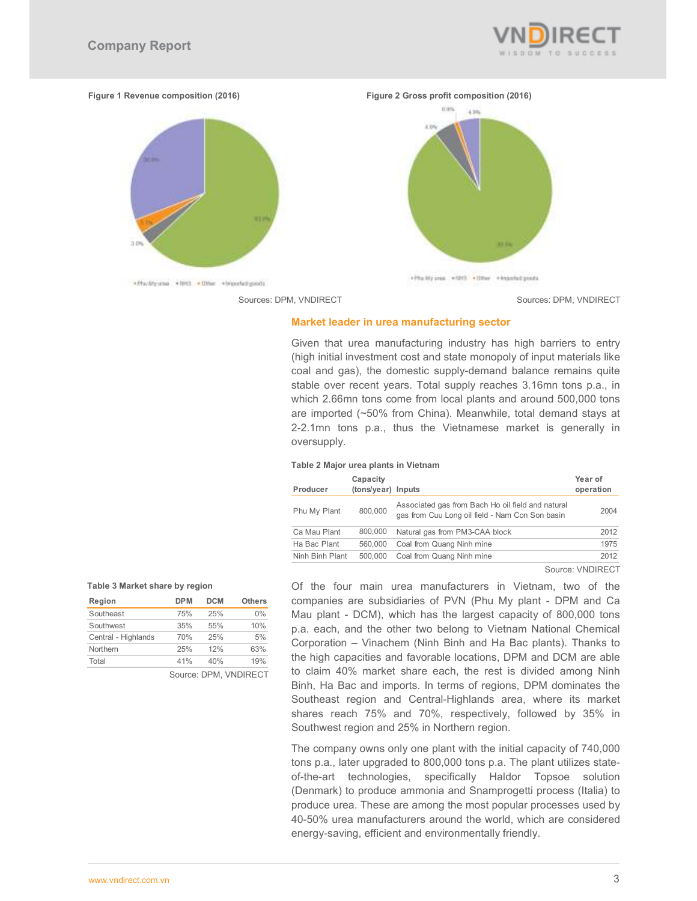

**Figure 1 Revenue composition (2016) Figure 2 Gross profit composition (2016)**  0.9%





#### **Market leader in urea manufacturing sector**

Given that urea manufacturing industry has high barriers to entry (high initial investment cost and state monopoly of input materials like coal and gas), the domestic supply-demand balance remains quite stable over recent years. Total supply reaches 3.16mn tons p.a., in which 2.66mn tons come from local plants and around 500,000 tons are imported (~50% from China). Meanwhile, total demand stays at 2-2.1mn tons p.a., thus the Vietnamese market is generally in oversupply.

+Phs My pea +NH3 + (Imar + knochad poor)

#### **Table 2 Major urea plants in Vietnam**

| Producer        | Capacity<br>(tons/year) Inputs |                                                                                                      | Year of<br>operation |
|-----------------|--------------------------------|------------------------------------------------------------------------------------------------------|----------------------|
| Phu My Plant    | 800,000                        | Associated gas from Bach Ho oil field and natural<br>gas from Cuu Long oil field - Nam Con Son basin | 2004                 |
| Ca Mau Plant    | 800,000                        | Natural gas from PM3-CAA block                                                                       | 2012                 |
| Ha Bac Plant    | 560,000                        | Coal from Quang Ninh mine                                                                            | 1975                 |
| Ninh Binh Plant | 500,000                        | Coal from Quang Ninh mine                                                                            | 2012                 |

#### Source: VNDIRECT

#### **Table 3 Market share by region**

| Region              | <b>DPM</b>            | <b>DCM</b> | <b>Others</b> |  |  |
|---------------------|-----------------------|------------|---------------|--|--|
| Southeast           | 75%                   | 25%        | $0\%$         |  |  |
| Southwest           | 35%                   | 55%        | 10%           |  |  |
| Central - Highlands | 70%                   | 25%        | 5%            |  |  |
| Northern            | 25%                   | 12%        | 63%           |  |  |
| Total               | 41%                   | 40%        | 19%           |  |  |
|                     | Source: DPM. VNDIRECT |            |               |  |  |

Of the four main urea manufacturers in Vietnam, two of the companies are subsidiaries of PVN (Phu My plant - DPM and Ca Mau plant - DCM), which has the largest capacity of 800,000 tons p.a. each, and the other two belong to Vietnam National Chemical Corporation – Vinachem (Ninh Binh and Ha Bac plants). Thanks to the high capacities and favorable locations, DPM and DCM are able to claim 40% market share each, the rest is divided among Ninh Binh, Ha Bac and imports. In terms of regions, DPM dominates the Southeast region and Central-Highlands area, where its market shares reach 75% and 70%, respectively, followed by 35% in Southwest region and 25% in Northern region.

The company owns only one plant with the initial capacity of 740,000 tons p.a., later upgraded to 800,000 tons p.a. The plant utilizes stateof-the-art technologies, specifically Haldor Topsoe solution (Denmark) to produce ammonia and Snamprogetti process (Italia) to produce urea. These are among the most popular processes used by 40-50% urea manufacturers around the world, which are considered energy-saving, efficient and environmentally friendly.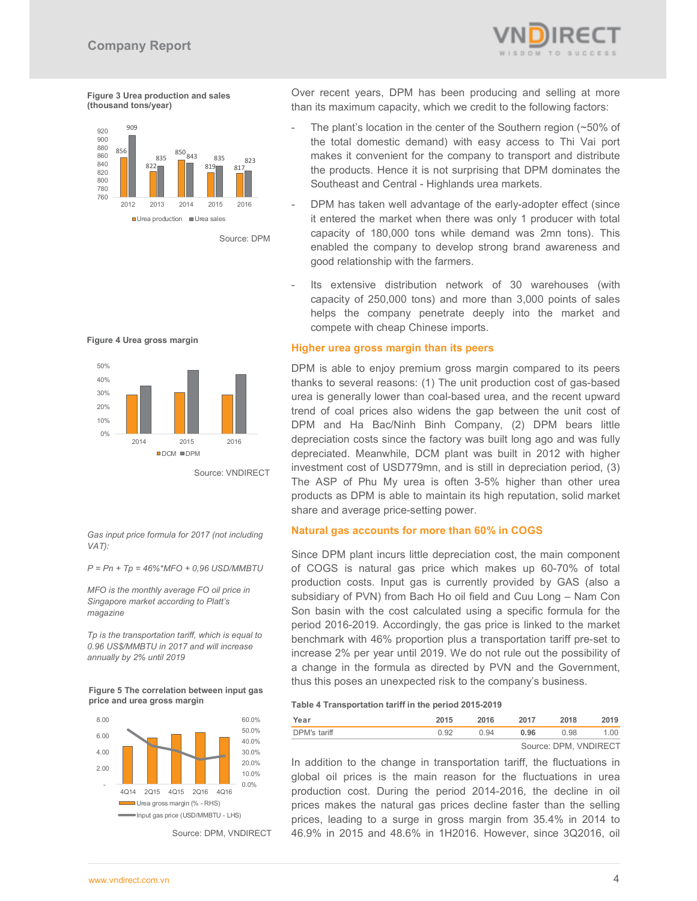

**Figure 3 Urea production and sales (thousand tons/year)** 



Source: DPM





Source: VNDIRECT

*Gas input price formula for 2017 (not including VAT):* 

*P = Pn + Tp = 46%\*MFO + 0,96 USD/MMBTU* 

*MFO is the monthly average FO oil price in Singapore market according to Platt's magazine* 

*Tp is the transportation tariff, which is equal to 0.96 US\$/MMBTU in 2017 and will increase annually by 2% until 2019* 

**Figure 5 The correlation between input gas price and urea gross margin** 



Source: DPM, VNDIRECT

Over recent years, DPM has been producing and selling at more than its maximum capacity, which we credit to the following factors:

- The plant's location in the center of the Southern region ( $\sim$  50% of the total domestic demand) with easy access to Thi Vai port makes it convenient for the company to transport and distribute the products. Hence it is not surprising that DPM dominates the Southeast and Central - Highlands urea markets.
- DPM has taken well advantage of the early-adopter effect (since it entered the market when there was only 1 producer with total capacity of 180,000 tons while demand was 2mn tons). This enabled the company to develop strong brand awareness and good relationship with the farmers.
- Its extensive distribution network of 30 warehouses (with capacity of 250,000 tons) and more than 3,000 points of sales helps the company penetrate deeply into the market and compete with cheap Chinese imports.

## **Higher urea gross margin than its peers**

DPM is able to enjoy premium gross margin compared to its peers thanks to several reasons: (1) The unit production cost of gas-based urea is generally lower than coal-based urea, and the recent upward trend of coal prices also widens the gap between the unit cost of DPM and Ha Bac/Ninh Binh Company, (2) DPM bears little depreciation costs since the factory was built long ago and was fully depreciated. Meanwhile, DCM plant was built in 2012 with higher investment cost of USD779mn, and is still in depreciation period, (3) The ASP of Phu My urea is often 3-5% higher than other urea products as DPM is able to maintain its high reputation, solid market share and average price-setting power.

#### **Natural gas accounts for more than 60% in COGS**

Since DPM plant incurs little depreciation cost, the main component of COGS is natural gas price which makes up 60-70% of total production costs. Input gas is currently provided by GAS (also a subsidiary of PVN) from Bach Ho oil field and Cuu Long – Nam Con Son basin with the cost calculated using a specific formula for the period 2016-2019. Accordingly, the gas price is linked to the market benchmark with 46% proportion plus a transportation tariff pre-set to increase 2% per year until 2019. We do not rule out the possibility of a change in the formula as directed by PVN and the Government, thus this poses an unexpected risk to the company's business.

#### **Table 4 Transportation tariff in the period 2015-2019**

| Year         | 2015 | 2016 | 2017 | 2018                  | 2019 |
|--------------|------|------|------|-----------------------|------|
| DPM's tariff | n 92 | 0.94 | 0.96 | 0.98                  | 1.00 |
|              |      |      |      | Source: DPM, VNDIRECT |      |

In addition to the change in transportation tariff, the fluctuations in global oil prices is the main reason for the fluctuations in urea production cost. During the period 2014-2016, the decline in oil prices makes the natural gas prices decline faster than the selling prices, leading to a surge in gross margin from 35.4% in 2014 to 46.9% in 2015 and 48.6% in 1H2016. However, since 3Q2016, oil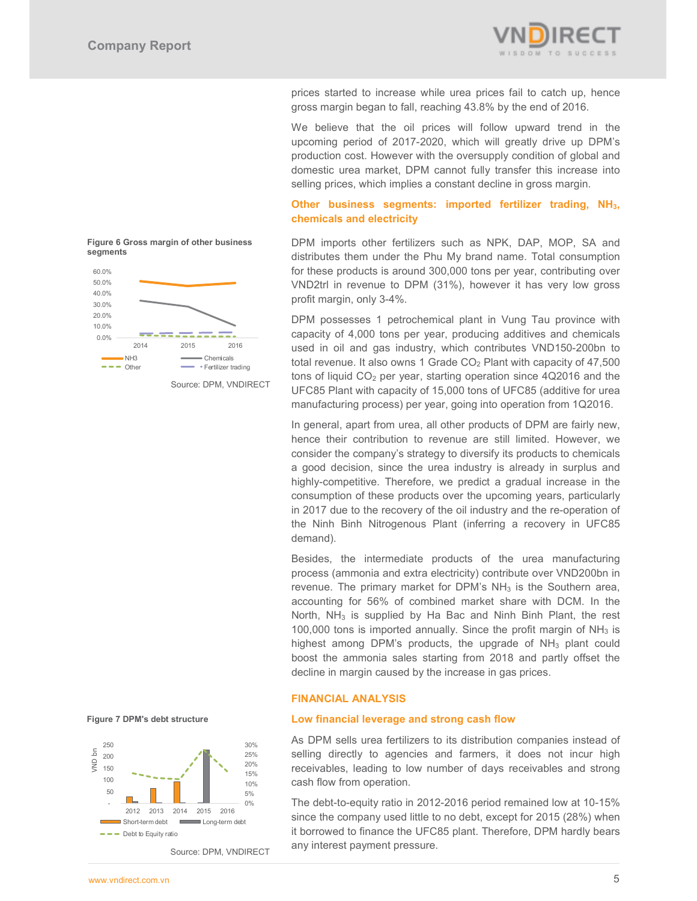

prices started to increase while urea prices fail to catch up, hence gross margin began to fall, reaching 43.8% by the end of 2016.

We believe that the oil prices will follow upward trend in the upcoming period of 2017-2020, which will greatly drive up DPM's production cost. However with the oversupply condition of global and domestic urea market, DPM cannot fully transfer this increase into selling prices, which implies a constant decline in gross margin.

# **Other business segments: imported fertilizer trading, NH3, chemicals and electricity**

DPM imports other fertilizers such as NPK, DAP, MOP, SA and distributes them under the Phu My brand name. Total consumption for these products is around 300,000 tons per year, contributing over VND2trl in revenue to DPM (31%), however it has very low gross profit margin, only 3-4%.

DPM possesses 1 petrochemical plant in Vung Tau province with capacity of 4,000 tons per year, producing additives and chemicals used in oil and gas industry, which contributes VND150-200bn to total revenue. It also owns 1 Grade  $CO<sub>2</sub>$  Plant with capacity of 47,500 tons of liquid CO<sub>2</sub> per year, starting operation since 4Q2016 and the UFC85 Plant with capacity of 15,000 tons of UFC85 (additive for urea manufacturing process) per year, going into operation from 1Q2016.

In general, apart from urea, all other products of DPM are fairly new, hence their contribution to revenue are still limited. However, we consider the company's strategy to diversify its products to chemicals a good decision, since the urea industry is already in surplus and highly-competitive. Therefore, we predict a gradual increase in the consumption of these products over the upcoming years, particularly in 2017 due to the recovery of the oil industry and the re-operation of the Ninh Binh Nitrogenous Plant (inferring a recovery in UFC85 demand).

Besides, the intermediate products of the urea manufacturing process (ammonia and extra electricity) contribute over VND200bn in revenue. The primary market for DPM's  $NH<sub>3</sub>$  is the Southern area, accounting for 56% of combined market share with DCM. In the North,  $NH<sub>3</sub>$  is supplied by Ha Bac and Ninh Binh Plant, the rest 100,000 tons is imported annually. Since the profit margin of  $NH<sub>3</sub>$  is highest among DPM's products, the upgrade of  $NH<sub>3</sub>$  plant could boost the ammonia sales starting from 2018 and partly offset the decline in margin caused by the increase in gas prices.

# **FINANCIAL ANALYSIS**

#### **Low financial leverage and strong cash flow**

As DPM sells urea fertilizers to its distribution companies instead of selling directly to agencies and farmers, it does not incur high receivables, leading to low number of days receivables and strong cash flow from operation.

The debt-to-equity ratio in 2012-2016 period remained low at 10-15% since the company used little to no debt, except for 2015 (28%) when it borrowed to finance the UFC85 plant. Therefore, DPM hardly bears any interest payment pressure.



**Chemicals**<br>  $\bullet$   $\bullet$  Other **Chemicals**<br>  $\bullet$  **Chemicals** 

2014 2015 2016

**Figure 6 Gross margin of other business** 

 Source: DPM, VNDIRECT • Fertilizer trading

# **Figure 7 DPM's debt structure**

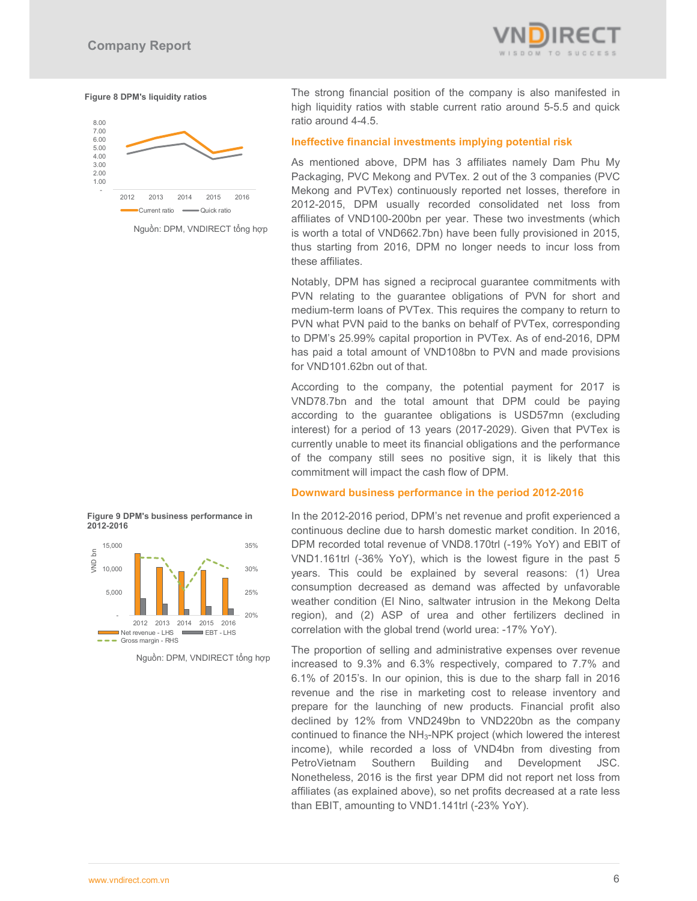

#### **Figure 8 DPM's liquidity ratios**



Nguồn: DPM, VNDIRECT tổng hợp

The strong financial position of the company is also manifested in high liquidity ratios with stable current ratio around 5-5.5 and quick ratio around 4-4.5.

#### **Ineffective financial investments implying potential risk**

As mentioned above, DPM has 3 affiliates namely Dam Phu My Packaging, PVC Mekong and PVTex. 2 out of the 3 companies (PVC Mekong and PVTex) continuously reported net losses, therefore in 2012-2015, DPM usually recorded consolidated net loss from affiliates of VND100-200bn per year. These two investments (which is worth a total of VND662.7bn) have been fully provisioned in 2015, thus starting from 2016, DPM no longer needs to incur loss from these affiliates.

Notably, DPM has signed a reciprocal guarantee commitments with PVN relating to the guarantee obligations of PVN for short and medium-term loans of PVTex. This requires the company to return to PVN what PVN paid to the banks on behalf of PVTex, corresponding to DPM's 25.99% capital proportion in PVTex. As of end-2016, DPM has paid a total amount of VND108bn to PVN and made provisions for VND101.62bn out of that.

According to the company, the potential payment for 2017 is VND78.7bn and the total amount that DPM could be paying according to the guarantee obligations is USD57mn (excluding interest) for a period of 13 years (2017-2029). Given that PVTex is currently unable to meet its financial obligations and the performance of the company still sees no positive sign, it is likely that this commitment will impact the cash flow of DPM.

#### **Downward business performance in the period 2012-2016**

In the 2012-2016 period, DPM's net revenue and profit experienced a continuous decline due to harsh domestic market condition. In 2016, DPM recorded total revenue of VND8.170trl (-19% YoY) and EBIT of VND1.161trl (-36% YoY), which is the lowest figure in the past 5 years. This could be explained by several reasons: (1) Urea consumption decreased as demand was affected by unfavorable weather condition (El Nino, saltwater intrusion in the Mekong Delta region), and (2) ASP of urea and other fertilizers declined in correlation with the global trend (world urea: -17% YoY).

The proportion of selling and administrative expenses over revenue increased to 9.3% and 6.3% respectively, compared to 7.7% and 6.1% of 2015's. In our opinion, this is due to the sharp fall in 2016 revenue and the rise in marketing cost to release inventory and prepare for the launching of new products. Financial profit also declined by 12% from VND249bn to VND220bn as the company continued to finance the NH<sub>3</sub>-NPK project (which lowered the interest income), while recorded a loss of VND4bn from divesting from PetroVietnam Southern Building and Development JSC. Nonetheless, 2016 is the first year DPM did not report net loss from affiliates (as explained above), so net profits decreased at a rate less than EBIT, amounting to VND1.141trl (-23% YoY).





Nguồn: DPM, VNDIRECT tổng hợp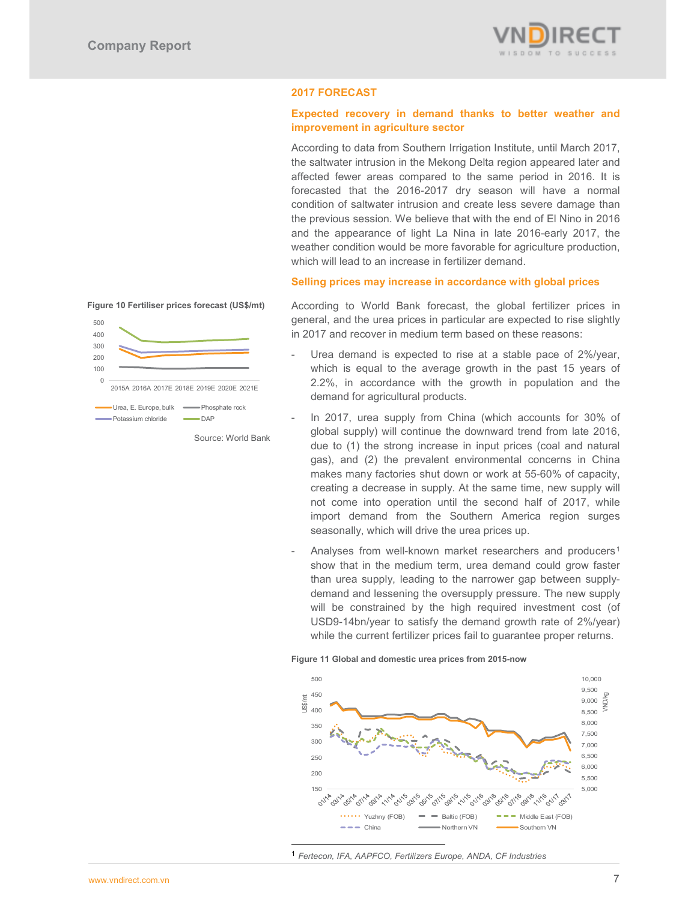

# **2017 FORECAST**

# **Expected recovery in demand thanks to better weather and improvement in agriculture sector**

According to data from Southern Irrigation Institute, until March 2017, the saltwater intrusion in the Mekong Delta region appeared later and affected fewer areas compared to the same period in 2016. It is forecasted that the 2016-2017 dry season will have a normal condition of saltwater intrusion and create less severe damage than the previous session. We believe that with the end of El Nino in 2016 and the appearance of light La Nina in late 2016-early 2017, the weather condition would be more favorable for agriculture production, which will lead to an increase in fertilizer demand.

## **Selling prices may increase in accordance with global prices**

#### **Figure 10 Fertiliser prices forecast (US\$/mt)**



Source: World Bank

According to World Bank forecast, the global fertilizer prices in general, and the urea prices in particular are expected to rise slightly in 2017 and recover in medium term based on these reasons:

- Urea demand is expected to rise at a stable pace of 2%/year, which is equal to the average growth in the past 15 years of 2.2%, in accordance with the growth in population and the demand for agricultural products.
- In 2017, urea supply from China (which accounts for 30% of global supply) will continue the downward trend from late 2016, due to (1) the strong increase in input prices (coal and natural gas), and (2) the prevalent environmental concerns in China makes many factories shut down or work at 55-60% of capacity, creating a decrease in supply. At the same time, new supply will not come into operation until the second half of 2017, while import demand from the Southern America region surges seasonally, which will drive the urea prices up.
- Analyses from well-known market researchers and producers<sup>1</sup> show that in the medium term, urea demand could grow faster than urea supply, leading to the narrower gap between supplydemand and lessening the oversupply pressure. The new supply will be constrained by the high required investment cost (of USD9-14bn/year to satisfy the demand growth rate of 2%/year) while the current fertilizer prices fail to guarantee proper returns.

#### **Figure 11 Global and domestic urea prices from 2015-now**



<sup>1</sup> *Fertecon, IFA, AAPFCO, Fertilizers Europe, ANDA, CF Industries*

-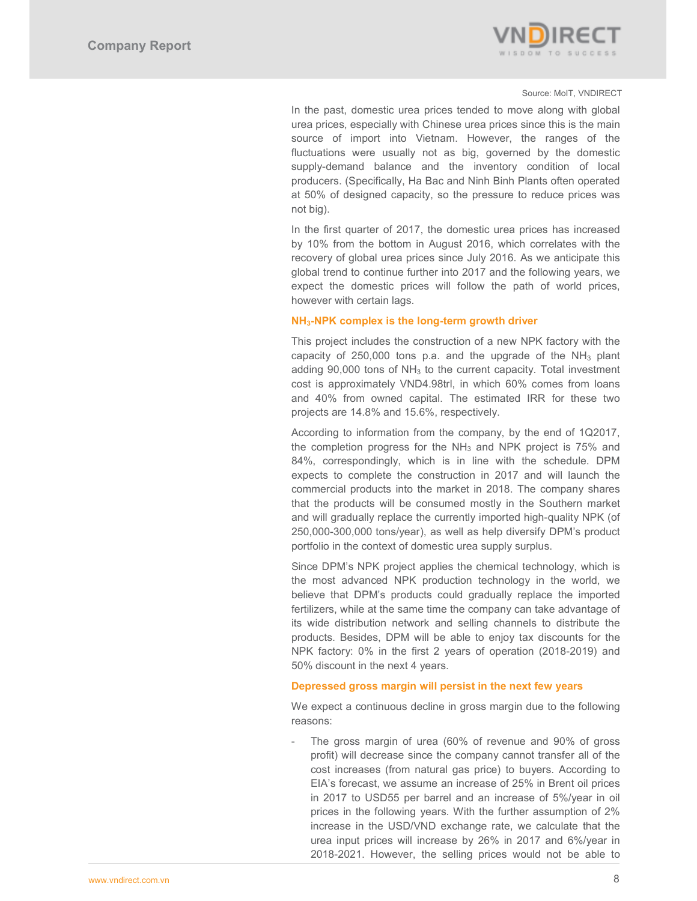

#### Source: MoIT, VNDIRECT

In the past, domestic urea prices tended to move along with global urea prices, especially with Chinese urea prices since this is the main source of import into Vietnam. However, the ranges of the fluctuations were usually not as big, governed by the domestic supply-demand balance and the inventory condition of local producers. (Specifically, Ha Bac and Ninh Binh Plants often operated at 50% of designed capacity, so the pressure to reduce prices was not big).

In the first quarter of 2017, the domestic urea prices has increased by 10% from the bottom in August 2016, which correlates with the recovery of global urea prices since July 2016. As we anticipate this global trend to continue further into 2017 and the following years, we expect the domestic prices will follow the path of world prices, however with certain lags.

# **NH3-NPK complex is the long-term growth driver**

This project includes the construction of a new NPK factory with the capacity of  $250,000$  tons p.a. and the upgrade of the NH<sub>3</sub> plant adding  $90,000$  tons of  $NH<sub>3</sub>$  to the current capacity. Total investment cost is approximately VND4.98trl, in which 60% comes from loans and 40% from owned capital. The estimated IRR for these two projects are 14.8% and 15.6%, respectively.

According to information from the company, by the end of 1Q2017, the completion progress for the  $NH<sub>3</sub>$  and NPK project is 75% and 84%, correspondingly, which is in line with the schedule. DPM expects to complete the construction in 2017 and will launch the commercial products into the market in 2018. The company shares that the products will be consumed mostly in the Southern market and will gradually replace the currently imported high-quality NPK (of 250,000-300,000 tons/year), as well as help diversify DPM's product portfolio in the context of domestic urea supply surplus.

Since DPM's NPK project applies the chemical technology, which is the most advanced NPK production technology in the world, we believe that DPM's products could gradually replace the imported fertilizers, while at the same time the company can take advantage of its wide distribution network and selling channels to distribute the products. Besides, DPM will be able to enjoy tax discounts for the NPK factory: 0% in the first 2 years of operation (2018-2019) and 50% discount in the next 4 years.

# **Depressed gross margin will persist in the next few years**

We expect a continuous decline in gross margin due to the following reasons:

The gross margin of urea (60% of revenue and 90% of gross profit) will decrease since the company cannot transfer all of the cost increases (from natural gas price) to buyers. According to EIA's forecast, we assume an increase of 25% in Brent oil prices in 2017 to USD55 per barrel and an increase of 5%/year in oil prices in the following years. With the further assumption of 2% increase in the USD/VND exchange rate, we calculate that the urea input prices will increase by 26% in 2017 and 6%/year in 2018-2021. However, the selling prices would not be able to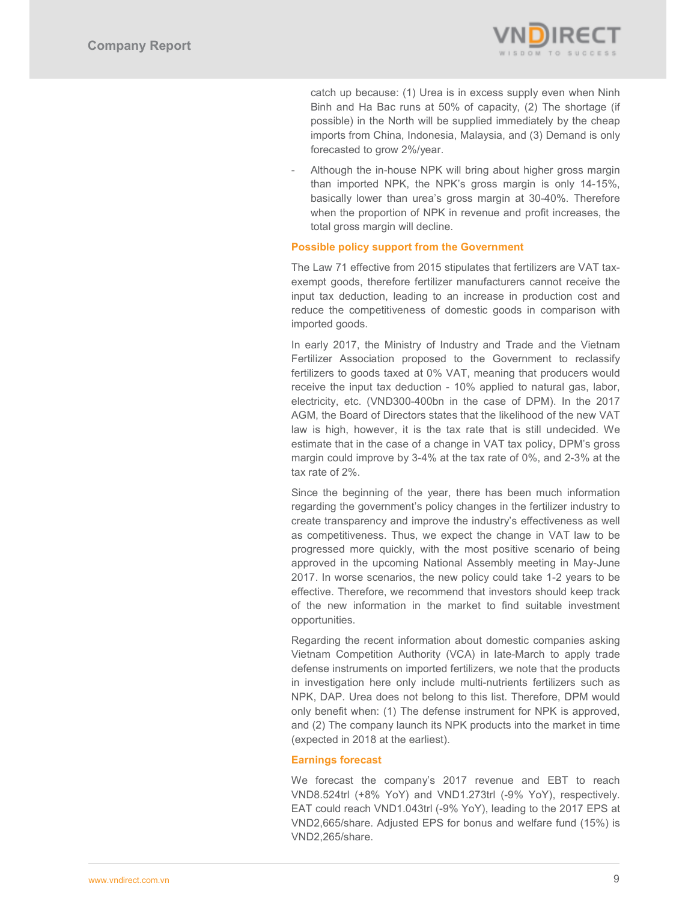

catch up because: (1) Urea is in excess supply even when Ninh Binh and Ha Bac runs at 50% of capacity, (2) The shortage (if possible) in the North will be supplied immediately by the cheap imports from China, Indonesia, Malaysia, and (3) Demand is only forecasted to grow 2%/year.

Although the in-house NPK will bring about higher gross margin than imported NPK, the NPK's gross margin is only 14-15%, basically lower than urea's gross margin at 30-40%. Therefore when the proportion of NPK in revenue and profit increases, the total gross margin will decline.

# **Possible policy support from the Government**

The Law 71 effective from 2015 stipulates that fertilizers are VAT taxexempt goods, therefore fertilizer manufacturers cannot receive the input tax deduction, leading to an increase in production cost and reduce the competitiveness of domestic goods in comparison with imported goods.

In early 2017, the Ministry of Industry and Trade and the Vietnam Fertilizer Association proposed to the Government to reclassify fertilizers to goods taxed at 0% VAT, meaning that producers would receive the input tax deduction - 10% applied to natural gas, labor, electricity, etc. (VND300-400bn in the case of DPM). In the 2017 AGM, the Board of Directors states that the likelihood of the new VAT law is high, however, it is the tax rate that is still undecided. We estimate that in the case of a change in VAT tax policy, DPM's gross margin could improve by 3-4% at the tax rate of 0%, and 2-3% at the tax rate of 2%.

Since the beginning of the year, there has been much information regarding the government's policy changes in the fertilizer industry to create transparency and improve the industry's effectiveness as well as competitiveness. Thus, we expect the change in VAT law to be progressed more quickly, with the most positive scenario of being approved in the upcoming National Assembly meeting in May-June 2017. In worse scenarios, the new policy could take 1-2 years to be effective. Therefore, we recommend that investors should keep track of the new information in the market to find suitable investment opportunities.

Regarding the recent information about domestic companies asking Vietnam Competition Authority (VCA) in late-March to apply trade defense instruments on imported fertilizers, we note that the products in investigation here only include multi-nutrients fertilizers such as NPK, DAP. Urea does not belong to this list. Therefore, DPM would only benefit when: (1) The defense instrument for NPK is approved, and (2) The company launch its NPK products into the market in time (expected in 2018 at the earliest).

# **Earnings forecast**

We forecast the company's 2017 revenue and EBT to reach VND8.524trl (+8% YoY) and VND1.273trl (-9% YoY), respectively. EAT could reach VND1.043trl (-9% YoY), leading to the 2017 EPS at VND2,665/share. Adjusted EPS for bonus and welfare fund (15%) is VND2,265/share.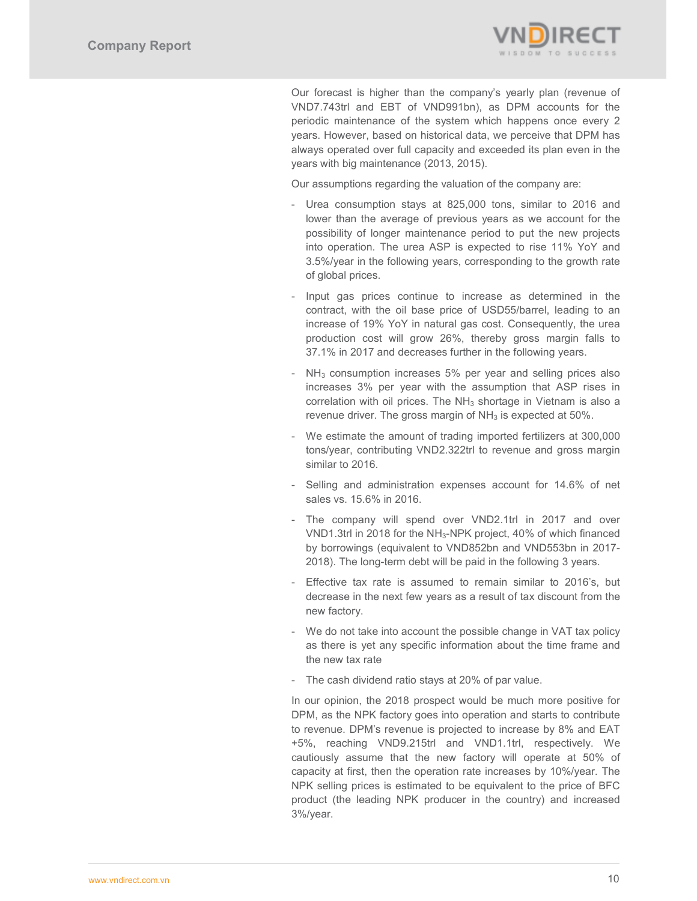

Our forecast is higher than the company's yearly plan (revenue of VND7.743trl and EBT of VND991bn), as DPM accounts for the periodic maintenance of the system which happens once every 2 years. However, based on historical data, we perceive that DPM has always operated over full capacity and exceeded its plan even in the years with big maintenance (2013, 2015).

Our assumptions regarding the valuation of the company are:

- Urea consumption stays at 825,000 tons, similar to 2016 and lower than the average of previous years as we account for the possibility of longer maintenance period to put the new projects into operation. The urea ASP is expected to rise 11% YoY and 3.5%/year in the following years, corresponding to the growth rate of global prices.
- Input gas prices continue to increase as determined in the contract, with the oil base price of USD55/barrel, leading to an increase of 19% YoY in natural gas cost. Consequently, the urea production cost will grow 26%, thereby gross margin falls to 37.1% in 2017 and decreases further in the following years.
- $NH<sub>3</sub>$  consumption increases 5% per year and selling prices also increases 3% per year with the assumption that ASP rises in correlation with oil prices. The  $NH<sub>3</sub>$  shortage in Vietnam is also a revenue driver. The gross margin of  $NH<sub>3</sub>$  is expected at 50%.
- We estimate the amount of trading imported fertilizers at 300,000 tons/year, contributing VND2.322trl to revenue and gross margin similar to 2016.
- Selling and administration expenses account for 14.6% of net sales vs. 15.6% in 2016.
- The company will spend over VND2.1trl in 2017 and over VND1.3trl in 2018 for the NH3-NPK project, 40% of which financed by borrowings (equivalent to VND852bn and VND553bn in 2017- 2018). The long-term debt will be paid in the following 3 years.
- Effective tax rate is assumed to remain similar to 2016's, but decrease in the next few years as a result of tax discount from the new factory.
- We do not take into account the possible change in VAT tax policy as there is yet any specific information about the time frame and the new tax rate
- The cash dividend ratio stays at 20% of par value.

In our opinion, the 2018 prospect would be much more positive for DPM, as the NPK factory goes into operation and starts to contribute to revenue. DPM's revenue is projected to increase by 8% and EAT +5%, reaching VND9.215trl and VND1.1trl, respectively. We cautiously assume that the new factory will operate at 50% of capacity at first, then the operation rate increases by 10%/year. The NPK selling prices is estimated to be equivalent to the price of BFC product (the leading NPK producer in the country) and increased 3%/year.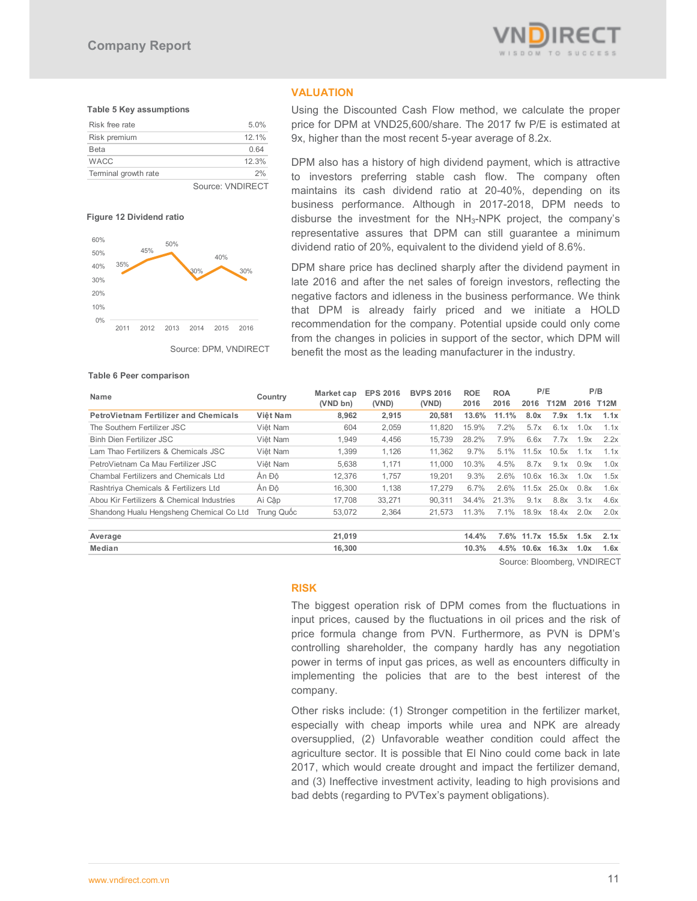

#### **Table 5 Key assumptions**

| Terminal growth rate | 2%    |
|----------------------|-------|
| <b>WACC</b>          | 12.3% |
| <b>Beta</b>          | 0.64  |
| Risk premium         | 12.1% |
| Risk free rate       | 5.0%  |
|                      |       |



#### **Figure 12 Dividend ratio**



Source: DPM, VNDIRECT

#### **Table 6 Peer comparison**

Using the Discounted Cash Flow method, we calculate the proper price for DPM at VND25,600/share. The 2017 fw P/E is estimated at 9x, higher than the most recent 5-year average of 8.2x.

DPM also has a history of high dividend payment, which is attractive to investors preferring stable cash flow. The company often maintains its cash dividend ratio at 20-40%, depending on its business performance. Although in 2017-2018, DPM needs to disburse the investment for the NH3-NPK project, the company's representative assures that DPM can still guarantee a minimum dividend ratio of 20%, equivalent to the dividend yield of 8.6%.

DPM share price has declined sharply after the dividend payment in late 2016 and after the net sales of foreign investors, reflecting the negative factors and idleness in the business performance. We think that DPM is already fairly priced and we initiate a HOLD recommendation for the company. Potential upside could only come from the changes in policies in support of the sector, which DPM will benefit the most as the leading manufacturer in the industry.

> **BVPS 2016 (VND)**

**ROA 2016**

**ROE 2016**

| Median                                     |            | 16,300 |        |        | 10.3% |         | 4.5% 10.6x 16.3x |       | 1.0x | 1.6x |
|--------------------------------------------|------------|--------|--------|--------|-------|---------|------------------|-------|------|------|
| Average                                    |            | 21,019 |        |        | 14.4% |         | 7.6% 11.7x 15.5x |       | 1.5x | 2.1x |
|                                            |            |        |        |        |       |         |                  |       |      |      |
| Shandong Hualu Hengsheng Chemical Co Ltd   | Trung Quốc | 53,072 | 2,364  | 21.573 | 11.3% | 7.1%    | 18.9x            | 18.4x | 2.0x | 2.0x |
| Abou Kir Fertilizers & Chemical Industries | Ai Câp     | 17,708 | 33,271 | 90.311 | 34.4% | 21.3%   | 9.1x             | 8.8x  | 3.1x | 4.6x |
| Rashtriya Chemicals & Fertilizers Ltd      | Ân Đô      | 16,300 | 1,138  | 17.279 | 6.7%  | 2.6%    | 11.5x            | 25.0x | 0.8x | 1.6x |
| Chambal Fertilizers and Chemicals Ltd      | Ân Đô      | 12,376 | 1.757  | 19.201 | 9.3%  | 2.6%    | 10.6x            | 16.3x | 1.0x | 1.5x |
| PetroVietnam Ca Mau Fertilizer JSC         | Việt Nam   | 5.638  | 1,171  | 11.000 | 10.3% | 4.5%    | 8.7x             | 9.1x  | 0.9x | 1.0x |
| Lam Thao Fertilizers & Chemicals JSC       | Việt Nam   | 1.399  | 1,126  | 11.362 | 9.7%  | $5.1\%$ | 11.5x            | 10.5x | 1.1x | 1.1x |
| Binh Dien Fertilizer JSC                   | Việt Nam   | 1,949  | 4,456  | 15.739 | 28.2% | 7.9%    | 6.6x             | 7.7x  | 1.9x | 2.2x |
| The Southern Fertilizer JSC                | Việt Nam   | 604    | 2,059  | 11.820 | 15.9% | $7.2\%$ | 5.7x             | 6.1x  | 1.0x | 1.1x |

**PetroVietnam Fertilizer and Chemicals Việt Nam 8,962 2,915 20,581 13.6% 11.1% 8.0x 7.9x 1.1x 1.1x**

**(VND)**

**P/B P/B Country Market cap EPS 2016 BVPS 2016 ROE ROA P/E P/B P/B (VND bn)**

**VALUATION** 

Source: Bloomberg, VNDIRECT

**2016 T12M 2016 T12M**

#### **RISK**

The biggest operation risk of DPM comes from the fluctuations in input prices, caused by the fluctuations in oil prices and the risk of price formula change from PVN. Furthermore, as PVN is DPM's controlling shareholder, the company hardly has any negotiation power in terms of input gas prices, as well as encounters difficulty in implementing the policies that are to the best interest of the company.

Other risks include: (1) Stronger competition in the fertilizer market, especially with cheap imports while urea and NPK are already oversupplied, (2) Unfavorable weather condition could affect the agriculture sector. It is possible that El Nino could come back in late 2017, which would create drought and impact the fertilizer demand, and (3) Ineffective investment activity, leading to high provisions and bad debts (regarding to PVTex's payment obligations).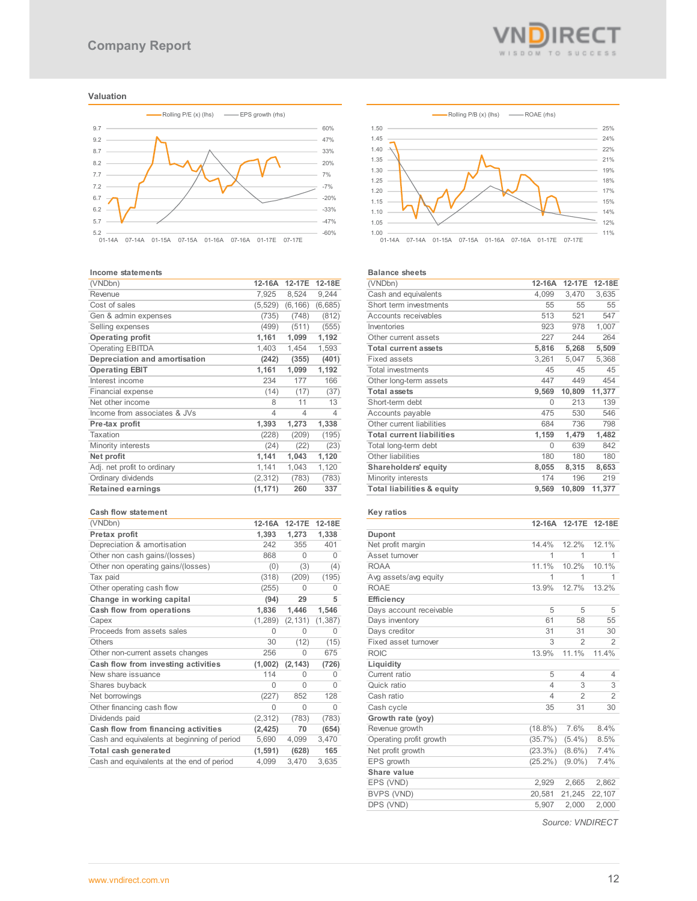#### **Valuation**



#### **Income statements**

| (VNDbn)                       | 12-16A   | 12-17E   | 12-18E         |
|-------------------------------|----------|----------|----------------|
| Revenue                       | 7,925    | 8,524    | 9,244          |
| Cost of sales                 | (5, 529) | (6, 166) | (6,685)        |
| Gen & admin expenses          | (735)    | (748)    | (812)          |
| Selling expenses              | (499)    | (511)    | (555)          |
| <b>Operating profit</b>       | 1,161    | 1,099    | 1,192          |
| <b>Operating EBITDA</b>       | 1,403    | 1,454    | 1,593          |
| Depreciation and amortisation | (242)    | (355)    | (401)          |
| <b>Operating EBIT</b>         | 1,161    | 1,099    | 1,192          |
| Interest income               | 234      | 177      | 166            |
| Financial expense             | (14)     | (17)     | (37)           |
| Net other income              | 8        | 11       | 13             |
| Income from associates & JVs  | 4        | 4        | $\overline{4}$ |
| Pre-tax profit                | 1,393    | 1,273    | 1,338          |
| Taxation                      | (228)    | (209)    | (195)          |
| Minority interests            | (24)     | (22)     | (23)           |
| Net profit                    | 1,141    | 1,043    | 1,120          |
| Adj. net profit to ordinary   | 1,141    | 1,043    | 1,120          |
| Ordinary dividends            | (2,312)  | (783)    | (783)          |
| <b>Retained earnings</b>      | (1, 171) | 260      | 337            |
|                               |          |          |                |

#### **Cash flow statement**

| (VNDbn)                                     | 12-16A   | 12-17E   | 12-18E   |
|---------------------------------------------|----------|----------|----------|
| Pretax profit                               | 1,393    | 1,273    | 1,338    |
| Depreciation & amortisation                 | 242      | 355      | 401      |
| Other non cash gains/(losses)               | 868      | 0        | 0        |
| Other non operating gains/(losses)          | (0)      | (3)      | (4)      |
| Tax paid                                    | (318)    | (209)    | (195)    |
| Other operating cash flow                   | (255)    | 0        | 0        |
| Change in working capital                   | (94)     | 29       | 5        |
| Cash flow from operations                   | 1,836    | 1,446    | 1,546    |
| Capex                                       | (1, 289) | (2, 131) | (1, 387) |
| Proceeds from assets sales                  | 0        | $\Omega$ | 0        |
| Others                                      | 30       | (12)     | (15)     |
| Other non-current assets changes            | 256      | 0        | 675      |
| Cash flow from investing activities         | (1,002)  | (2, 143) | (726)    |
| New share issuance                          | 114      | O        | 0        |
| Shares buyback                              | 0        | 0        | 0        |
| Net borrowings                              | (227)    | 852      | 128      |
| Other financing cash flow                   | 0        | $\Omega$ | O        |
| Dividends paid                              | (2, 312) | (783)    | (783)    |
| Cash flow from financing activities         | (2, 425) | 70       | (654)    |
| Cash and equivalents at beginning of period | 5,690    | 4,099    | 3,470    |
| Total cash generated                        | (1, 591) | (628)    | 165      |
| Cash and equivalents at the end of period   | 4,099    | 3,470    | 3,635    |



#### **Balance sheets**

| בושיות שופכוס                    |        |        |        |
|----------------------------------|--------|--------|--------|
| (VNDbn)                          | 12-16A | 12-17E | 12-18E |
| Cash and equivalents             | 4,099  | 3,470  | 3,635  |
| Short term investments           | 55     | 55     | 55     |
| Accounts receivables             | 513    | 521    | 547    |
| Inventories                      | 923    | 978    | 1,007  |
| Other current assets             | 227    | 244    | 264    |
| <b>Total current assets</b>      | 5,816  | 5,268  | 5,509  |
| Fixed assets                     | 3,261  | 5,047  | 5,368  |
| <b>Total investments</b>         | 45     | 45     | 45     |
| Other long-term assets           | 447    | 449    | 454    |
| <b>Total assets</b>              | 9,569  | 10,809 | 11,377 |
| Short-term debt                  | 0      | 213    | 139    |
| Accounts payable                 | 475    | 530    | 546    |
| Other current liabilities        | 684    | 736    | 798    |
| <b>Total current liabilities</b> | 1,159  | 1,479  | 1,482  |
| Total long-term debt             | 0      | 639    | 842    |
| Other liabilities                | 180    | 180    | 180    |
| Shareholders' equity             | 8,055  | 8,315  | 8,653  |
| Minority interests               | 174    | 196    | 219    |
| Total liabilities & equity       | 9,569  | 10,809 | 11,377 |

## **Key ratios**

|                         | $12-16A$       | 12-17E         | 12-18E         |
|-------------------------|----------------|----------------|----------------|
| <b>Dupont</b>           |                |                |                |
| Net profit margin       | 14.4%          | 12.2%          | 12.1%          |
| Asset turnover          | 1              | 1              | 1              |
| <b>ROAA</b>             | 11.1%          | 10.2%          | 10.1%          |
| Avg assets/avg equity   | 1              | 1              | 1              |
| <b>ROAE</b>             | 13.9%          | 12.7%          | 13.2%          |
| Efficiency              |                |                |                |
| Days account receivable | 5              | 5              | 5              |
| Days inventory          | 61             | 58             | 55             |
| Days creditor           | 31             | 31             | 30             |
| Fixed asset turnover    | 3              | $\mathfrak{D}$ | $\mathfrak{D}$ |
| <b>ROIC</b>             | 13.9%          | 11.1%          | 11.4%          |
| Liquidity               |                |                |                |
| Current ratio           | 5              | $\overline{4}$ | $\overline{4}$ |
| Quick ratio             | $\overline{4}$ | 3              | 3              |
| Cash ratio              | $\overline{4}$ | $\overline{2}$ | $\overline{2}$ |
| Cash cycle              | 35             | 31             | 30             |
| Growth rate (yoy)       |                |                |                |
| Revenue growth          | $(18.8\%)$     | 7.6%           | 8.4%           |
| Operating profit growth | $(35.7\%)$     | $(5.4\%)$      | 8.5%           |
| Net profit growth       | $(23.3\%)$     | $(8.6\%)$      | 7.4%           |
| EPS growth              | $(25.2\%)$     | $(9.0\%)$      | 7.4%           |
| Share value             |                |                |                |
| EPS (VND)               | 2,929          | 2,665          | 2,862          |
| BVPS (VND)              | 20,581         | 21,245         | 22,107         |
| DPS (VND)               | 5,907          | 2,000          | 2,000          |

*Source: VNDIRECT*

WISDOM TO SUCCESS